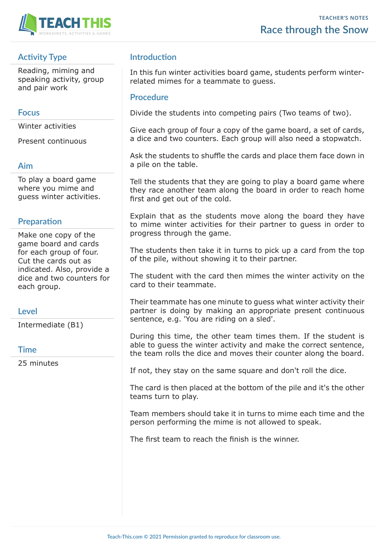

## **Activity Type**

Reading, miming and speaking activity, group and pair work

#### **Focus**

Winter activities

Present continuous

## **Aim**

To play a board game where you mime and guess winter activities.

## **Preparation**

Make one copy of the game board and cards for each group of four. Cut the cards out as indicated. Also, provide a dice and two counters for each group.

#### **Level**

Intermediate (B1)

#### **Time**

25 minutes

## **Introduction**

In this fun winter activities board game, students perform winterrelated mimes for a teammate to guess.

#### **Procedure**

Divide the students into competing pairs (Two teams of two).

Give each group of four a copy of the game board, a set of cards, a dice and two counters. Each group will also need a stopwatch.

Ask the students to shuffle the cards and place them face down in a pile on the table.

Tell the students that they are going to play a board game where they race another team along the board in order to reach home first and get out of the cold.

Explain that as the students move along the board they have to mime winter activities for their partner to guess in order to progress through the game.

The students then take it in turns to pick up a card from the top of the pile, without showing it to their partner.

The student with the card then mimes the winter activity on the card to their teammate.

Their teammate has one minute to guess what winter activity their partner is doing by making an appropriate present continuous sentence, e.g. 'You are riding on a sled'.

During this time, the other team times them. If the student is able to guess the winter activity and make the correct sentence, the team rolls the dice and moves their counter along the board.

If not, they stay on the same square and don't roll the dice.

The card is then placed at the bottom of the pile and it's the other teams turn to play.

Team members should take it in turns to mime each time and the person performing the mime is not allowed to speak.

The first team to reach the finish is the winner.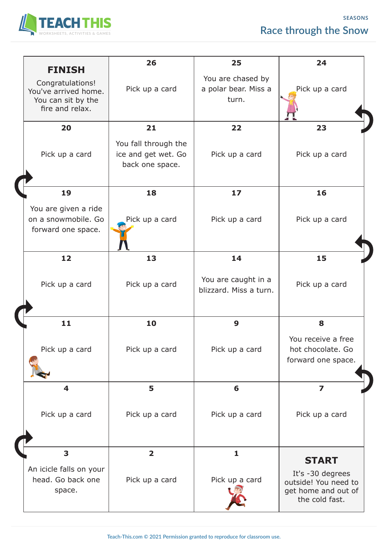# **Race through the Snow**

**SEASONS**



| <b>FINISH</b>                                                                     | 26                                                             | 25                                                 | 24                                                                                |
|-----------------------------------------------------------------------------------|----------------------------------------------------------------|----------------------------------------------------|-----------------------------------------------------------------------------------|
| Congratulations!<br>You've arrived home.<br>You can sit by the<br>fire and relax. | Pick up a card                                                 | You are chased by<br>a polar bear. Miss a<br>turn. | Pick up a card                                                                    |
| 20                                                                                | 21                                                             | 22                                                 | 23                                                                                |
| Pick up a card                                                                    | You fall through the<br>ice and get wet. Go<br>back one space. | Pick up a card                                     | Pick up a card                                                                    |
| 19                                                                                | 18                                                             | 17                                                 | 16                                                                                |
| You are given a ride<br>on a snowmobile. Go<br>forward one space.                 | Pick up a card                                                 | Pick up a card                                     | Pick up a card                                                                    |
| 12                                                                                | 13                                                             | 14                                                 | 15                                                                                |
| Pick up a card                                                                    | Pick up a card                                                 | You are caught in a<br>blizzard. Miss a turn.      | Pick up a card                                                                    |
| 11                                                                                | 10                                                             | 9                                                  | 8                                                                                 |
| Pick up a card                                                                    | Pick up a card                                                 | Pick up a card                                     | You receive a free<br>hot chocolate. Go<br>forward one space.                     |
| $\overline{\mathbf{4}}$                                                           | 5                                                              | 6                                                  | $\overline{\mathbf{z}}$                                                           |
| Pick up a card                                                                    | Pick up a card                                                 | Pick up a card                                     | Pick up a card                                                                    |
| 3                                                                                 | $\overline{\mathbf{2}}$                                        | 1                                                  | <b>START</b>                                                                      |
| An icicle falls on your<br>head. Go back one<br>space.                            | Pick up a card                                                 | Pick up a card                                     | It's -30 degrees<br>outside! You need to<br>get home and out of<br>the cold fast. |